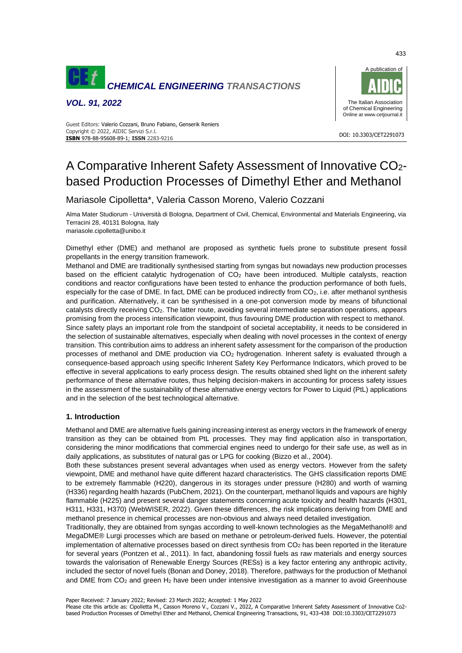

*VOL. 91, 2022*



#### DOI: 10.3303/CET2291073 **ISBN** 978-88-95608-89-1; **ISSN** 2283-9216 Guest Editors: Valerio Cozzani, Bruno Fabiano, Genserik Reniers Copyright © 2022, AIDIC Servizi S.r.l.

# A Comparative Inherent Safety Assessment of Innovative CO2 based Production Processes of Dimethyl Ether and Methanol

# Mariasole Cipolletta\*, Valeria Casson Moreno, Valerio Cozzani

Alma Mater Studiorum - Università di Bologna, Department of Civil, Chemical, Environmental and Materials Engineering, via Terracini 28, 40131 Bologna, Italy mariasole.cipolletta@unibo.it

Dimethyl ether (DME) and methanol are proposed as synthetic fuels prone to substitute present fossil propellants in the energy transition framework.

Methanol and DME are traditionally synthesised starting from syngas but nowadays new production processes based on the efficient catalytic hydrogenation of CO<sub>2</sub> have been introduced. Multiple catalysts, reaction conditions and reactor configurations have been tested to enhance the production performance of both fuels, especially for the case of DME. In fact, DME can be produced indirectly from CO<sub>2</sub>, i.e. after methanol synthesis and purification. Alternatively, it can be synthesised in a one-pot conversion mode by means of bifunctional catalysts directly receiving CO2. The latter route, avoiding several intermediate separation operations, appears promising from the process intensification viewpoint, thus favouring DME production with respect to methanol.

Since safety plays an important role from the standpoint of societal acceptability, it needs to be considered in the selection of sustainable alternatives, especially when dealing with novel processes in the context of energy transition. This contribution aims to address an inherent safety assessment for the comparison of the production processes of methanol and DME production via CO<sub>2</sub> hydrogenation. Inherent safety is evaluated through a consequence-based approach using specific Inherent Safety Key Performance Indicators, which proved to be effective in several applications to early process design. The results obtained shed light on the inherent safety performance of these alternative routes, thus helping decision-makers in accounting for process safety issues in the assessment of the sustainability of these alternative energy vectors for Power to Liquid (PtL) applications and in the selection of the best technological alternative.

## **1. Introduction**

Methanol and DME are alternative fuels gaining increasing interest as energy vectors in the framework of energy transition as they can be obtained from PtL processes. They may find application also in transportation, considering the minor modifications that commercial engines need to undergo for their safe use, as well as in daily applications, as substitutes of natural gas or LPG for cooking (Bizzo et al., 2004).

Both these substances present several advantages when used as energy vectors. However from the safety viewpoint, DME and methanol have quite different hazard characteristics. The GHS classification reports DME to be extremely flammable (H220), dangerous in its storages under pressure (H280) and worth of warning (H336) regarding health hazards (PubChem, 2021). On the counterpart, methanol liquids and vapours are highly flammable (H225) and present several danger statements concerning acute toxicity and health hazards (H301, H311, H331, H370) (WebWISER, 2022). Given these differences, the risk implications deriving from DME and methanol presence in chemical processes are non-obvious and always need detailed investigation.

Traditionally, they are obtained from syngas according to well-known technologies as the MegaMethanol® and MegaDME® Lurgi processes which are based on methane or petroleum-derived fuels. However, the potential implementation of alternative processes based on direct synthesis from  $CO<sub>2</sub>$  has been reported in the literature for several years (Pontzen et al., 2011). In fact, abandoning fossil fuels as raw materials and energy sources towards the valorisation of Renewable Energy Sources (RESs) is a key factor entering any anthropic activity, included the sector of novel fuels (Bonan and Doney, 2018). Therefore, pathways for the production of Methanol and DME from CO<sub>2</sub> and green H<sub>2</sub> have been under intensive investigation as a manner to avoid Greenhouse

Paper Received: 7 January 2022; Revised: 23 March 2022; Accepted: 1 May 2022

Please cite this article as: Cipolletta M., Casson Moreno V., Cozzani V., 2022, A Comparative Inherent Safety Assessment of Innovative Co2 based Production Processes of Dimethyl Ether and Methanol, Chemical Engineering Transactions, 91, 433-438 DOI:10.3303/CET2291073

433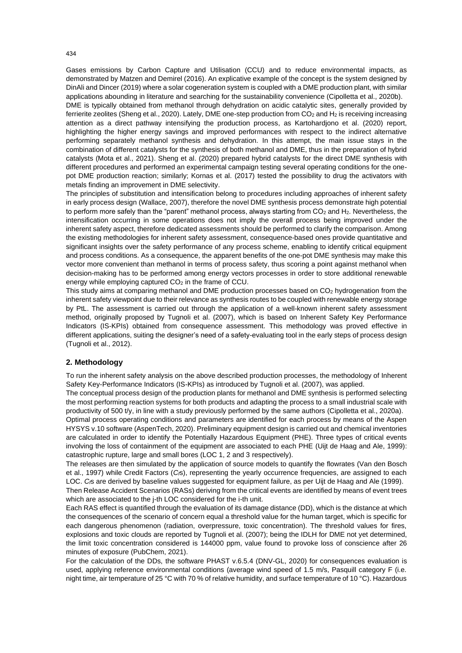Gases emissions by Carbon Capture and Utilisation (CCU) and to reduce environmental impacts, as demonstrated by Matzen and Demirel (2016). An explicative example of the concept is the system designed by DinAli and Dincer (2019) where a solar cogeneration system is coupled with a DME production plant, with similar applications abounding in literature and searching for the sustainability convenience (Cipolletta et al., 2020b).

DME is typically obtained from methanol through dehydration on acidic catalytic sites, generally provided by ferrierite zeolites (Sheng et al., 2020). Lately, DME one-step production from CO<sub>2</sub> and H<sub>2</sub> is receiving increasing attention as a direct pathway intensifying the production process, as Kartohardjono et al. (2020) report, highlighting the higher energy savings and improved performances with respect to the indirect alternative performing separately methanol synthesis and dehydration. In this attempt, the main issue stays in the combination of different catalysts for the synthesis of both methanol and DME, thus in the preparation of hybrid catalysts (Mota et al., 2021). Sheng et al. (2020) prepared hybrid catalysts for the direct DME synthesis with different procedures and performed an experimental campaign testing several operating conditions for the onepot DME production reaction; similarly; Kornas et al. (2017) tested the possibility to drug the activators with metals finding an improvement in DME selectivity.

The principles of substitution and intensification belong to procedures including approaches of inherent safety in early process design (Wallace, 2007), therefore the novel DME synthesis process demonstrate high potential to perform more safely than the "parent" methanol process, always starting from  $CO<sub>2</sub>$  and  $H<sub>2</sub>$ . Nevertheless, the intensification occurring in some operations does not imply the overall process being improved under the inherent safety aspect, therefore dedicated assessments should be performed to clarify the comparison. Among the existing methodologies for inherent safety assessment, consequence-based ones provide quantitative and significant insights over the safety performance of any process scheme, enabling to identify critical equipment and process conditions. As a consequence, the apparent benefits of the one-pot DME synthesis may make this vector more convenient than methanol in terms of process safety, thus scoring a point against methanol when decision-making has to be performed among energy vectors processes in order to store additional renewable energy while employing captured  $CO<sub>2</sub>$  in the frame of CCU.

This study aims at comparing methanol and DME production processes based on CO<sub>2</sub> hydrogenation from the inherent safety viewpoint due to their relevance as synthesis routes to be coupled with renewable energy storage by PtL. The assessment is carried out through the application of a well-known inherent safety assessment method, originally proposed by Tugnoli et al. (2007), which is based on Inherent Safety Key Performance Indicators (IS-KPIs) obtained from consequence assessment. This methodology was proved effective in different applications, suiting the designer's need of a safety-evaluating tool in the early steps of process design (Tugnoli et al., 2012).

#### **2. Methodology**

To run the inherent safety analysis on the above described production processes, the methodology of Inherent Safety Key-Performance Indicators (IS-KPIs) as introduced by Tugnoli et al. (2007), was applied.

The conceptual process design of the production plants for methanol and DME synthesis is performed selecting the most performing reaction systems for both products and adapting the process to a small industrial scale with productivity of 500 t/y, in line with a study previously performed by the same authors (Cipolletta et al., 2020a).

Optimal process operating conditions and parameters are identified for each process by means of the Aspen HYSYS v.10 software (AspenTech, 2020). Preliminary equipment design is carried out and chemical inventories are calculated in order to identify the Potentially Hazardous Equipment (PHE). Three types of critical events involving the loss of containment of the equipment are associated to each PHE (Uijt de Haag and Ale, 1999): catastrophic rupture, large and small bores (LOC 1, 2 and 3 respectively).

The releases are then simulated by the application of source models to quantify the flowrates (Van den Bosch et al., 1997) while Credit Factors (*Cf*s), representing the yearly occurrence frequencies, are assigned to each LOC. *C*<sub>6</sub> are derived by baseline values suggested for equipment failure, as per Uijt de Haag and Ale (1999).

Then Release Accident Scenarios (RASs) deriving from the critical events are identified by means of event trees which are associated to the j-th LOC considered for the i-th unit.

Each RAS effect is quantified through the evaluation of its damage distance (DD), which is the distance at which the consequences of the scenario of concern equal a threshold value for the human target, which is specific for each dangerous phenomenon (radiation, overpressure, toxic concentration). The threshold values for fires, explosions and toxic clouds are reported by Tugnoli et al. (2007); being the IDLH for DME not yet determined, the limit toxic concentration considered is 144000 ppm, value found to provoke loss of conscience after 26 minutes of exposure (PubChem, 2021).

For the calculation of the DDs, the software PHAST v.6.5.4 (DNV-GL, 2020) for consequences evaluation is used, applying reference environmental conditions (average wind speed of 1.5 m/s, Pasquill category F (i.e. night time, air temperature of 25 °C with 70 % of relative humidity, and surface temperature of 10 °C). Hazardous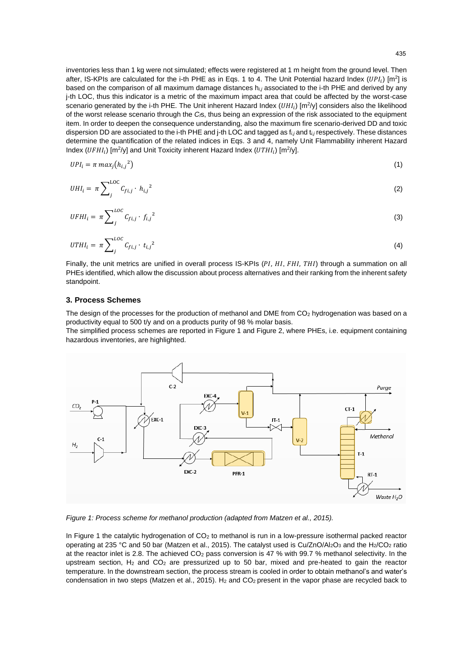inventories less than 1 kg were not simulated; effects were registered at 1 m height from the ground level. Then after, IS-KPIs are calculated for the i-th PHE as in Eqs. 1 to 4. The Unit Potential hazard Index  $(UPI_i)$  [m<sup>2</sup>] is based on the comparison of all maximum damage distances h*i,j* associated to the i-th PHE and derived by any j-th LOC, thus this indicator is a metric of the maximum impact area that could be affected by the worst-case scenario generated by the i-th PHE. The Unit inherent Hazard Index ( $UHI_i$ ) [m<sup>2</sup>/y] considers also the likelihood of the worst release scenario through the *Cf*s, thus being an expression of the risk associated to the equipment item. In order to deepen the consequence understanding, also the maximum fire scenario-derived DD and toxic dispersion DD are associated to the i-th PHE and j-th LOC and tagged as f*i,j* and t*i,j* respectively. These distances determine the quantification of the related indices in Eqs. 3 and 4, namely Unit Flammability inherent Hazard Index (UFHI<sub>i</sub>) [m<sup>2</sup>/y] and Unit Toxicity inherent Hazard Index (UTHI<sub>i</sub>) [m<sup>2</sup>/y].

$$
UPI_i = \pi \, max_j \left( h_{i,j}^2 \right) \tag{1}
$$

$$
UHI_i = \pi \sum_{j}^{LOC} C_{fi,j} \cdot h_{i,j}^2 \tag{2}
$$

$$
UFHI_i = \pi \sum_{j}^{LOC} C_{fi,j} \cdot f_{i,j}^{2} \tag{3}
$$

$$
UTHI_i = \pi \sum_j^{LOC} C_{fi,j} \cdot t_{i,j}^2 \tag{4}
$$

Finally, the unit metrics are unified in overall process IS-KPIs (PI, HI, FHI, THI) through a summation on all PHEs identified, which allow the discussion about process alternatives and their ranking from the inherent safety standpoint.

#### **3. Process Schemes**

The design of the processes for the production of methanol and DME from CO<sub>2</sub> hydrogenation was based on a productivity equal to 500 t/y and on a products purity of 98 % molar basis.

The simplified process schemes are reported in [Figure 1](#page-2-0) an[d Figure 2,](#page-3-0) where PHEs, i.e. equipment containing hazardous inventories, are highlighted.



<span id="page-2-0"></span>*Figure 1: Process scheme for methanol production (adapted from Matzen et al., 2015).*

In [Figure 1](#page-2-0) the catalytic hydrogenation of CO<sub>2</sub> to methanol is run in a low-pressure isothermal packed reactor operating at 235 °C and 50 bar (Matzen et al., 2015). The catalyst used is Cu/ZnO/Al<sub>2</sub>O<sub>3</sub> and the H<sub>2</sub>/CO<sub>2</sub> ratio at the reactor inlet is 2.8. The achieved CO<sub>2</sub> pass conversion is 47 % with 99.7 % methanol selectivity. In the upstream section,  $H_2$  and  $CO_2$  are pressurized up to 50 bar, mixed and pre-heated to gain the reactor temperature. In the downstream section, the process stream is cooled in order to obtain methanol's and water's condensation in two steps (Matzen et al., 2015). H<sub>2</sub> and CO<sub>2</sub> present in the vapor phase are recycled back to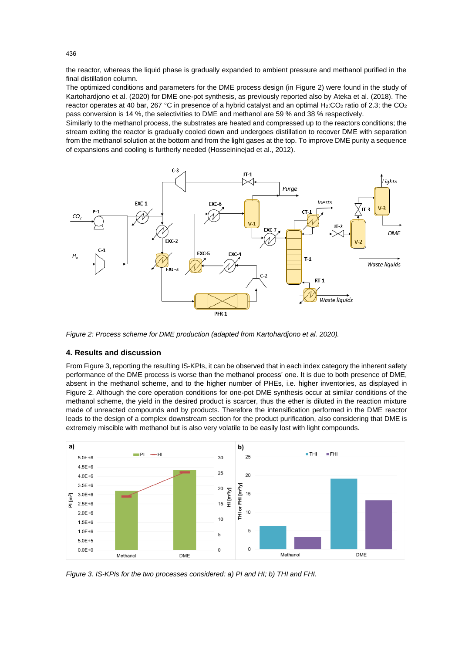the reactor, whereas the liquid phase is gradually expanded to ambient pressure and methanol purified in the final distillation column.

The optimized conditions and parameters for the DME process design (in [Figure 2\)](#page-3-0) were found in the study of Kartohardjono et al. (2020) for DME one-pot synthesis, as previously reported also by Ateka et al. (2018). The reactor operates at 40 bar, 267 °C in presence of a hybrid catalyst and an optimal  $H_2$ :CO<sub>2</sub> ratio of 2.3; the CO<sub>2</sub> pass conversion is 14 %, the selectivities to DME and methanol are 59 % and 38 % respectively.

Similarly to the methanol process, the substrates are heated and compressed up to the reactors conditions; the stream exiting the reactor is gradually cooled down and undergoes distillation to recover DME with separation from the methanol solution at the bottom and from the light gases at the top. To improve DME purity a sequence of expansions and cooling is furtherly needed (Hosseininejad et al., 2012).



<span id="page-3-0"></span>*Figure 2: Process scheme for DME production (adapted from Kartohardjono et al. 2020).*

# **4. Results and discussion**

Fro[m Figure 3,](#page-3-1) reporting the resulting IS-KPIs, it can be observed that in each index category the inherent safety performance of the DME process is worse than the methanol process' one. It is due to both presence of DME, absent in the methanol scheme, and to the higher number of PHEs, i.e. higher inventories, as displayed in [Figure 2.](#page-3-0) Although the core operation conditions for one-pot DME synthesis occur at similar conditions of the methanol scheme, the yield in the desired product is scarcer, thus the ether is diluted in the reaction mixture made of unreacted compounds and by products. Therefore the intensification performed in the DME reactor leads to the design of a complex downstream section for the product purification, also considering that DME is extremely miscible with methanol but is also very volatile to be easily lost with light compounds.



<span id="page-3-1"></span>*Figure 3. IS-KPIs for the two processes considered: a) PI and HI; b) THI and FHI.*

436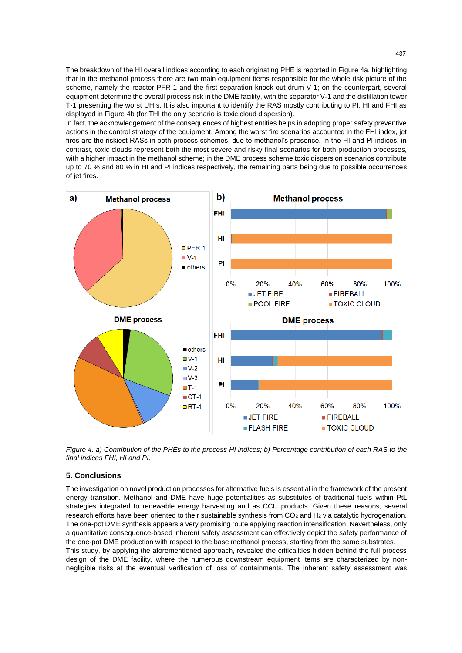The breakdown of the HI overall indices according to each originating PHE is reported in [Figure 4a](#page-4-0), highlighting that in the methanol process there are two main equipment items responsible for the whole risk picture of the scheme, namely the reactor PFR-1 and the first separation knock-out drum V-1; on the counterpart, several equipment determine the overall process risk in the DME facility, with the separator V-1 and the distillation tower T-1 presenting the worst UHIs. It is also important to identify the RAS mostly contributing to PI, HI and FHI as displayed in [Figure 4b](#page-4-0) (for THI the only scenario is toxic cloud dispersion).

In fact, the acknowledgement of the consequences of highest entities helps in adopting proper safety preventive actions in the control strategy of the equipment. Among the worst fire scenarios accounted in the FHI index, jet fires are the riskiest RASs in both process schemes, due to methanol's presence. In the HI and PI indices, in contrast, toxic clouds represent both the most severe and risky final scenarios for both production processes, with a higher impact in the methanol scheme; in the DME process scheme toxic dispersion scenarios contribute up to 70 % and 80 % in HI and PI indices respectively, the remaining parts being due to possible occurrences of jet fires.



<span id="page-4-0"></span>*Figure 4. a) Contribution of the PHEs to the process HI indices; b) Percentage contribution of each RAS to the final indices FHI, HI and PI.*

## **5. Conclusions**

The investigation on novel production processes for alternative fuels is essential in the framework of the present energy transition. Methanol and DME have huge potentialities as substitutes of traditional fuels within PtL strategies integrated to renewable energy harvesting and as CCU products. Given these reasons, several research efforts have been oriented to their sustainable synthesis from CO<sub>2</sub> and H<sub>2</sub> via catalytic hydrogenation. The one-pot DME synthesis appears a very promising route applying reaction intensification. Nevertheless, only a quantitative consequence-based inherent safety assessment can effectively depict the safety performance of the one-pot DME production with respect to the base methanol process, starting from the same substrates. This study, by applying the aforementioned approach, revealed the criticalities hidden behind the full process design of the DME facility, where the numerous downstream equipment items are characterized by nonnegligible risks at the eventual verification of loss of containments. The inherent safety assessment was